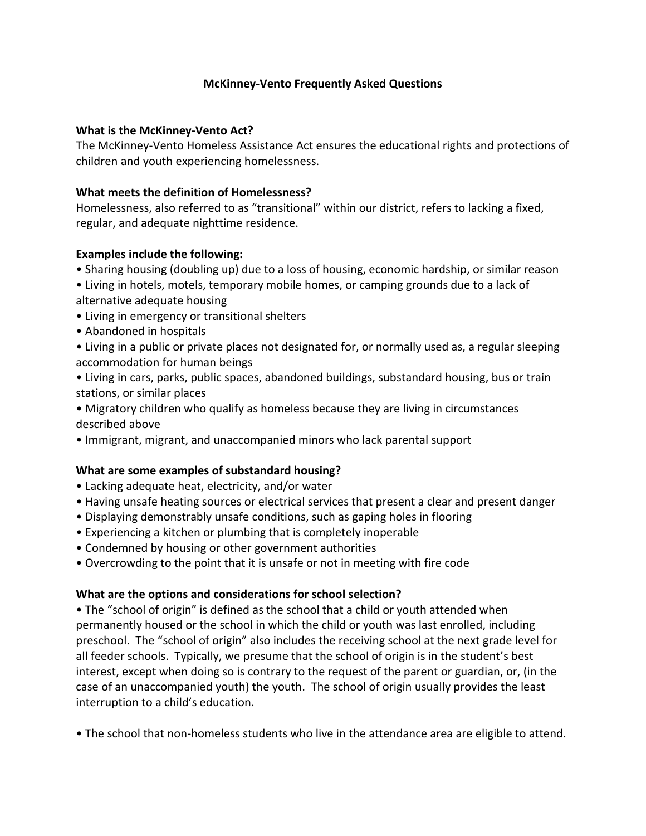### **McKinney-Vento Frequently Asked Questions**

#### **What is the McKinney-Vento Act?**

The McKinney-Vento Homeless Assistance Act ensures the educational rights and protections of children and youth experiencing homelessness.

#### **What meets the definition of Homelessness?**

Homelessness, also referred to as "transitional" within our district, refers to lacking a fixed, regular, and adequate nighttime residence.

#### **Examples include the following:**

- Sharing housing (doubling up) due to a loss of housing, economic hardship, or similar reason
- Living in hotels, motels, temporary mobile homes, or camping grounds due to a lack of alternative adequate housing
- Living in emergency or transitional shelters
- Abandoned in hospitals
- Living in a public or private places not designated for, or normally used as, a regular sleeping accommodation for human beings
- Living in cars, parks, public spaces, abandoned buildings, substandard housing, bus or train stations, or similar places
- Migratory children who qualify as homeless because they are living in circumstances described above
- Immigrant, migrant, and unaccompanied minors who lack parental support

### **What are some examples of substandard housing?**

- Lacking adequate heat, electricity, and/or water
- Having unsafe heating sources or electrical services that present a clear and present danger
- Displaying demonstrably unsafe conditions, such as gaping holes in flooring
- Experiencing a kitchen or plumbing that is completely inoperable
- Condemned by housing or other government authorities
- Overcrowding to the point that it is unsafe or not in meeting with fire code

#### **What are the options and considerations for school selection?**

• The "school of origin" is defined as the school that a child or youth attended when permanently housed or the school in which the child or youth was last enrolled, including preschool. The "school of origin" also includes the receiving school at the next grade level for all feeder schools. Typically, we presume that the school of origin is in the student's best interest, except when doing so is contrary to the request of the parent or guardian, or, (in the case of an unaccompanied youth) the youth. The school of origin usually provides the least interruption to a child's education.

• The school that non-homeless students who live in the attendance area are eligible to attend.